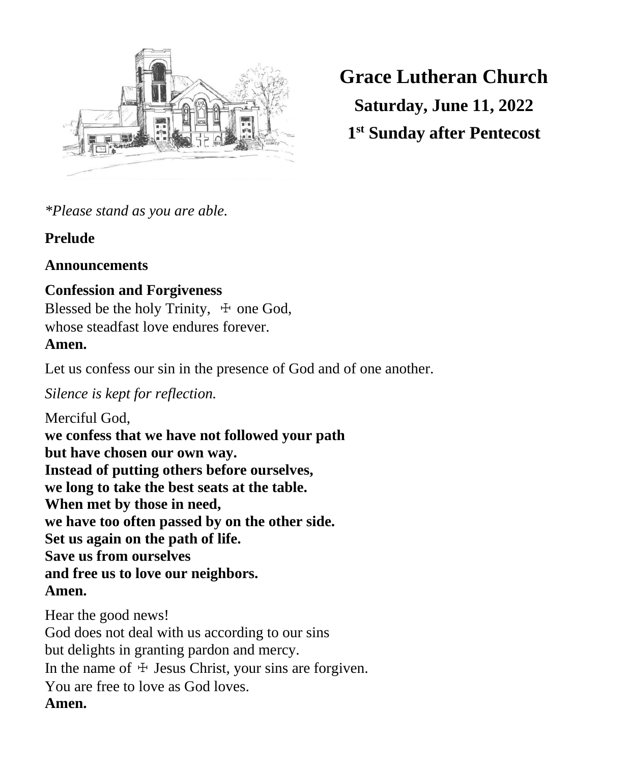

**Grace Lutheran Church Saturday, June 11, 2022 1 st Sunday after Pentecost**

*\*Please stand as you are able.*

# **Prelude**

# **Announcements**

# **Confession and Forgiveness**

Blessed be the holy Trinity,  $\pm$  one God, whose steadfast love endures forever. **Amen.**

Let us confess our sin in the presence of God and of one another.

# *Silence is kept for reflection.*

Merciful God, **we confess that we have not followed your path but have chosen our own way. Instead of putting others before ourselves, we long to take the best seats at the table. When met by those in need, we have too often passed by on the other side. Set us again on the path of life. Save us from ourselves and free us to love our neighbors. Amen.**

Hear the good news! God does not deal with us according to our sins but delights in granting pardon and mercy. In the name of  $\pm$  Jesus Christ, your sins are forgiven. You are free to love as God loves. **Amen.**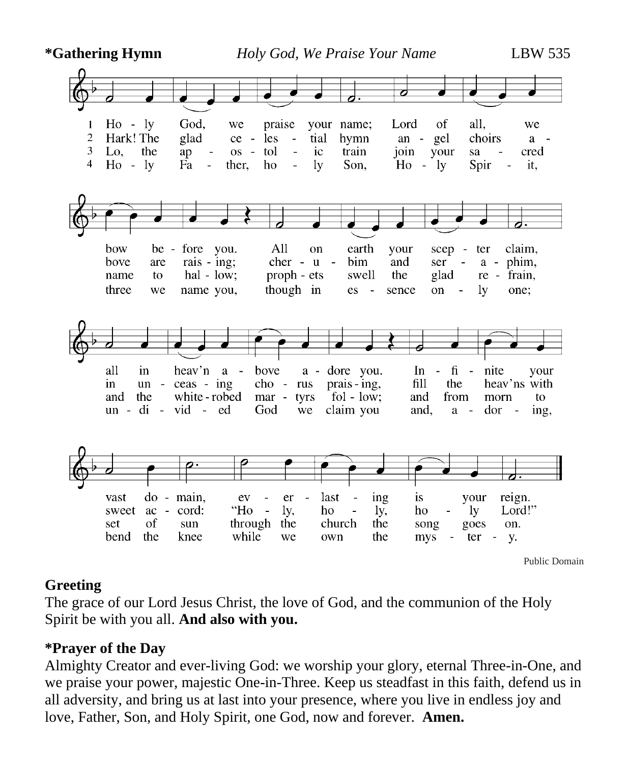

### **Greeting**

The grace of our Lord Jesus Christ, the love of God, and the communion of the Holy Spirit be with you all. **And also with you.**

## **\*Prayer of the Day**

Almighty Creator and ever-living God: we worship your glory, eternal Three-in-One, and we praise your power, majestic One-in-Three. Keep us steadfast in this faith, defend us in all adversity, and bring us at last into your presence, where you live in endless joy and love, Father, Son, and Holy Spirit, one God, now and forever. **Amen.**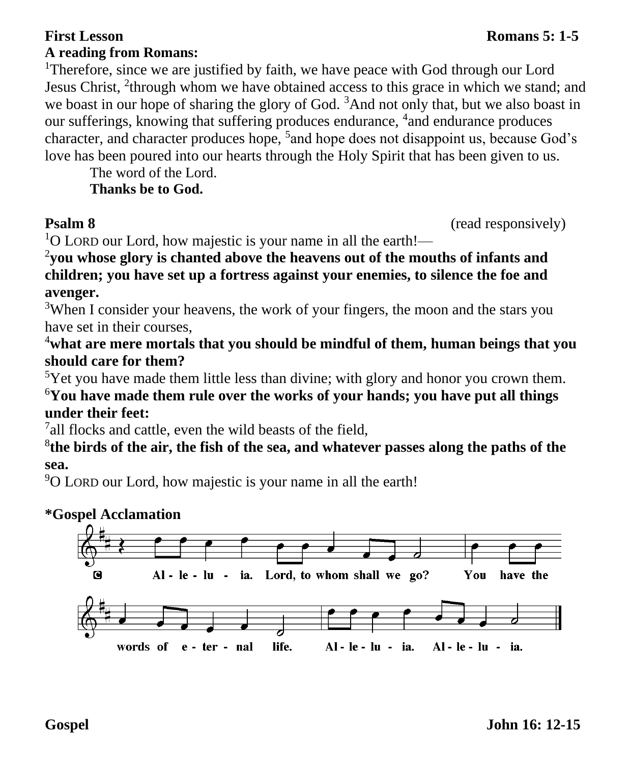### **First Lesson** Romans 5: 1-5 **A reading from Romans:**

character, and character produces hope, <sup>5</sup> and hope does not disappoint us, because God's

love has been poured into our hearts through the Holy Spirit that has been given to us.

The word of the Lord. **Thanks be to God.** 

**Psalm 8** (read responsively)

 $1$ O LORD our Lord, how majestic is your name in all the earth!—

2 **you whose glory is chanted above the heavens out of the mouths of infants and children; you have set up a fortress against your enemies, to silence the foe and avenger.**

<sup>3</sup>When I consider your heavens, the work of your fingers, the moon and the stars you have set in their courses,

<sup>4</sup>**what are mere mortals that you should be mindful of them, human beings that you should care for them?**

<sup>5</sup>Yet you have made them little less than divine; with glory and honor you crown them.

<sup>6</sup>**You have made them rule over the works of your hands; you have put all things under their feet:**

<sup>7</sup>all flocks and cattle, even the wild beasts of the field,

8 **the birds of the air, the fish of the sea, and whatever passes along the paths of the sea.**

<sup>9</sup>O LORD our Lord, how majestic is your name in all the earth!

# **\*Gospel Acclamation**

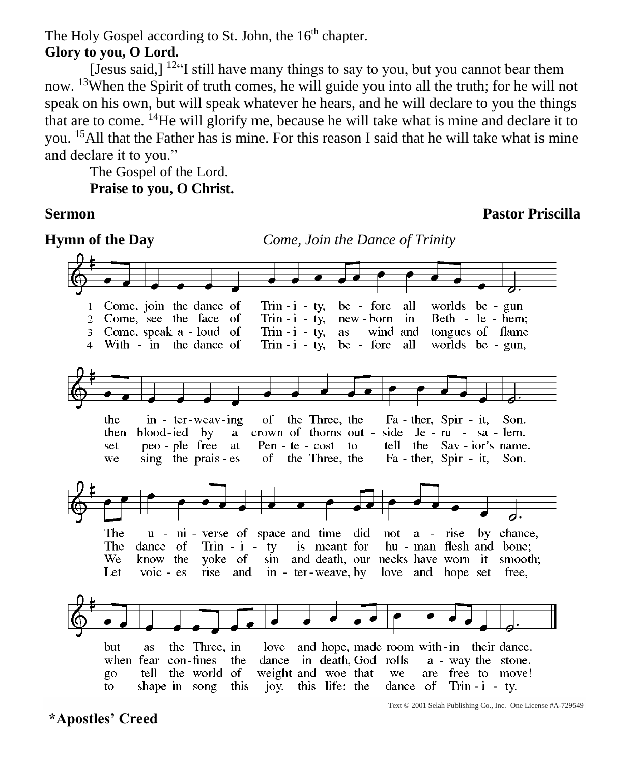The Holy Gospel according to St. John, the 16<sup>th</sup> chapter.

### **Glory to you, O Lord.**

[Jesus said,]  $12\text{°}$ ] still have many things to say to you, but you cannot bear them now. <sup>13</sup>When the Spirit of truth comes, he will guide you into all the truth; for he will not speak on his own, but will speak whatever he hears, and he will declare to you the things that are to come. <sup>14</sup>He will glorify me, because he will take what is mine and declare it to you. <sup>15</sup>All that the Father has is mine. For this reason I said that he will take what is mine and declare it to you."

The Gospel of the Lord. **Praise to you, O Christ.**

**Sermon Pastor Priscilla**



**\*Apostles' Creed**

Text © 2001 Selah Publishing Co., Inc. One License #A-729549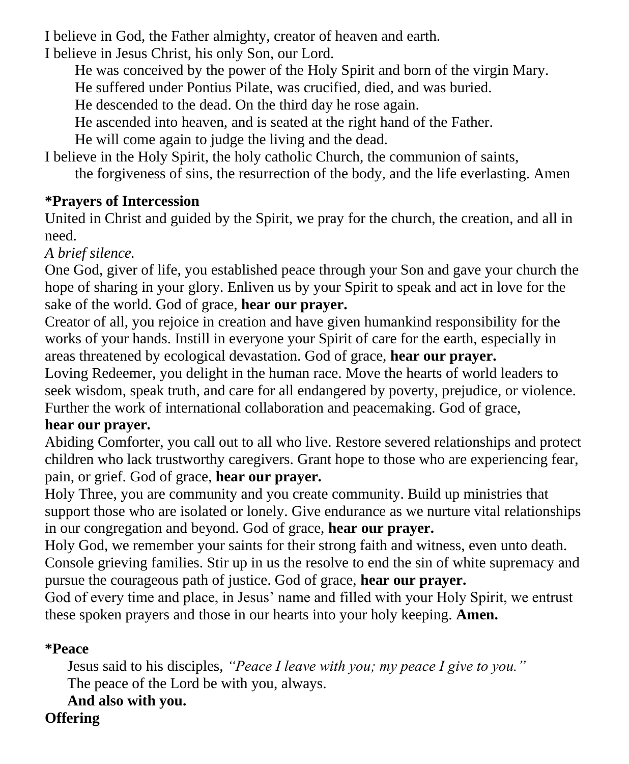I believe in God, the Father almighty, creator of heaven and earth.

I believe in Jesus Christ, his only Son, our Lord.

He was conceived by the power of the Holy Spirit and born of the virgin Mary.

He suffered under Pontius Pilate, was crucified, died, and was buried.

He descended to the dead. On the third day he rose again.

He ascended into heaven, and is seated at the right hand of the Father.

He will come again to judge the living and the dead.

I believe in the Holy Spirit, the holy catholic Church, the communion of saints, the forgiveness of sins, the resurrection of the body, and the life everlasting. Amen

# **\*Prayers of Intercession**

United in Christ and guided by the Spirit, we pray for the church, the creation, and all in need.

# *A brief silence.*

One God, giver of life, you established peace through your Son and gave your church the hope of sharing in your glory. Enliven us by your Spirit to speak and act in love for the sake of the world. God of grace, **hear our prayer.**

Creator of all, you rejoice in creation and have given humankind responsibility for the works of your hands. Instill in everyone your Spirit of care for the earth, especially in areas threatened by ecological devastation. God of grace, **hear our prayer.** Loving Redeemer, you delight in the human race. Move the hearts of world leaders to seek wisdom, speak truth, and care for all endangered by poverty, prejudice, or violence. Further the work of international collaboration and peacemaking. God of grace,

## **hear our prayer.**

Abiding Comforter, you call out to all who live. Restore severed relationships and protect children who lack trustworthy caregivers. Grant hope to those who are experiencing fear, pain, or grief. God of grace, **hear our prayer.**

Holy Three, you are community and you create community. Build up ministries that support those who are isolated or lonely. Give endurance as we nurture vital relationships in our congregation and beyond. God of grace, **hear our prayer.**

Holy God, we remember your saints for their strong faith and witness, even unto death. Console grieving families. Stir up in us the resolve to end the sin of white supremacy and pursue the courageous path of justice. God of grace, **hear our prayer.**

God of every time and place, in Jesus' name and filled with your Holy Spirit, we entrust these spoken prayers and those in our hearts into your holy keeping. **Amen.**

# **\*Peace**

Jesus said to his disciples, *"Peace I leave with you; my peace I give to you."* The peace of the Lord be with you, always.

**And also with you.**

# **Offering**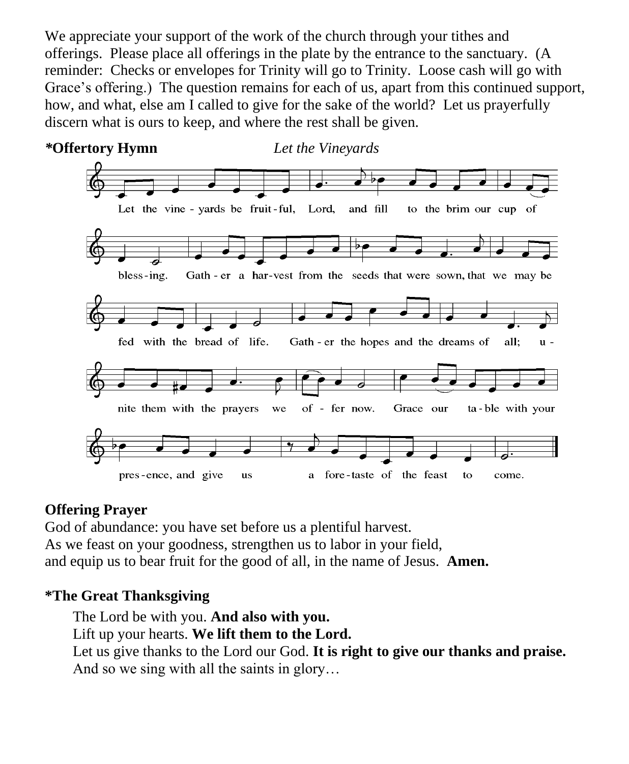We appreciate your support of the work of the church through your tithes and offerings. Please place all offerings in the plate by the entrance to the sanctuary. (A reminder: Checks or envelopes for Trinity will go to Trinity. Loose cash will go with Grace's offering.) The question remains for each of us, apart from this continued support, how, and what, else am I called to give for the sake of the world? Let us prayerfully discern what is ours to keep, and where the rest shall be given.



## **Offering Prayer**

God of abundance: you have set before us a plentiful harvest. As we feast on your goodness, strengthen us to labor in your field, and equip us to bear fruit for the good of all, in the name of Jesus. **Amen.**

### **\*The Great Thanksgiving**

The Lord be with you. **And also with you.** Lift up your hearts. **We lift them to the Lord.** Let us give thanks to the Lord our God. **It is right to give our thanks and praise.** And so we sing with all the saints in glory…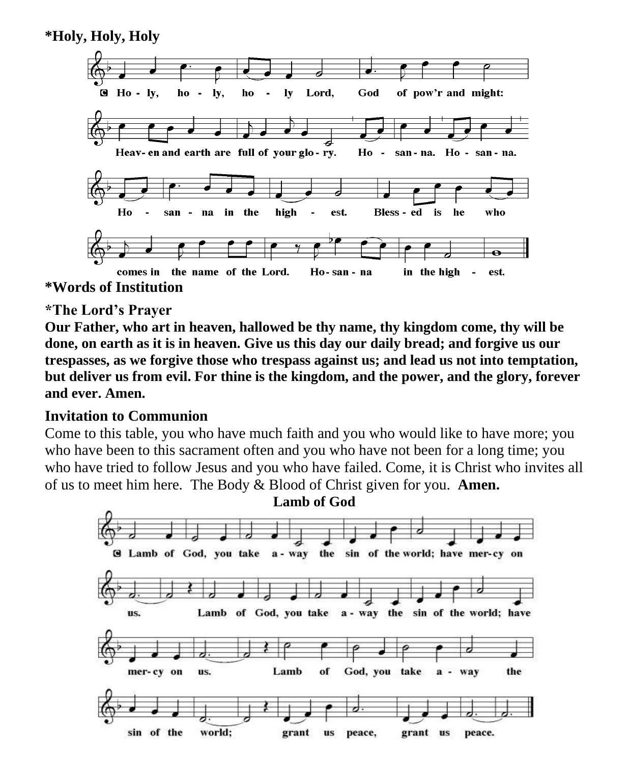**\*Holy, Holy, Holy**



#### **\*The Lord's Prayer**

**Our Father, who art in heaven, hallowed be thy name, thy kingdom come, thy will be done, on earth as it is in heaven. Give us this day our daily bread; and forgive us our trespasses, as we forgive those who trespass against us; and lead us not into temptation, but deliver us from evil. For thine is the kingdom, and the power, and the glory, forever and ever. Amen.**

#### **Invitation to Communion**

Come to this table, you who have much faith and you who would like to have more; you who have been to this sacrament often and you who have not been for a long time; you who have tried to follow Jesus and you who have failed. Come, it is Christ who invites all of us to meet him here. The Body & Blood of Christ given for you. **Amen.**

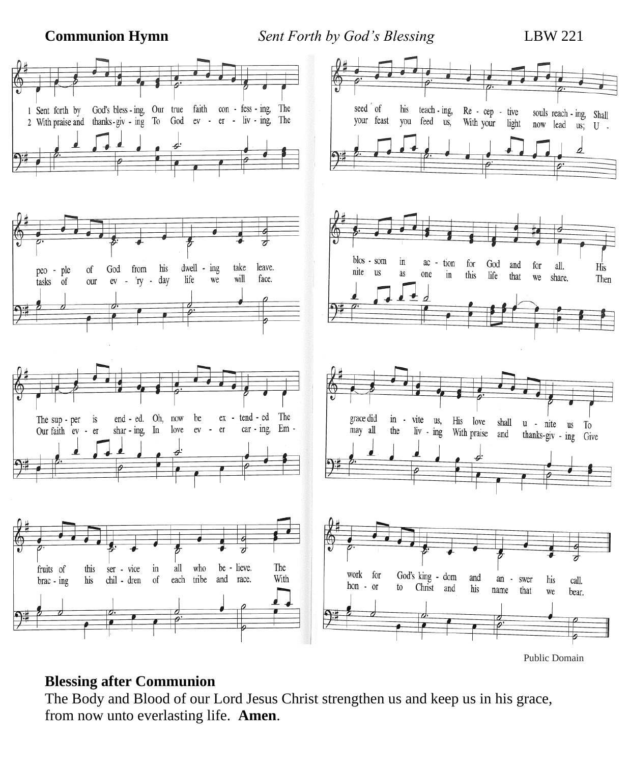**Communion Hymn** *Sent Forth by God's Blessing* LBW 221



Public Domain

#### **Blessing after Communion**

The Body and Blood of our Lord Jesus Christ strengthen us and keep us in his grace, from now unto everlasting life. **Amen**.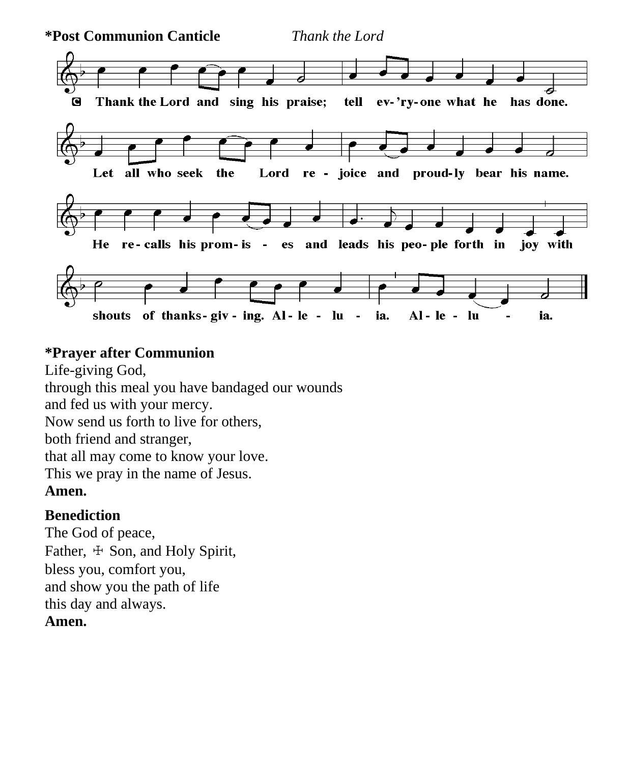

### **\*Prayer after Communion**

Life-giving God, through this meal you have bandaged our wounds and fed us with your mercy. Now send us forth to live for others, both friend and stranger, that all may come to know your love. This we pray in the name of Jesus. **Amen.**

# **Benediction**

The God of peace, Father,  $\pm$  Son, and Holy Spirit, bless you, comfort you, and show you the path of life this day and always. **Amen.**